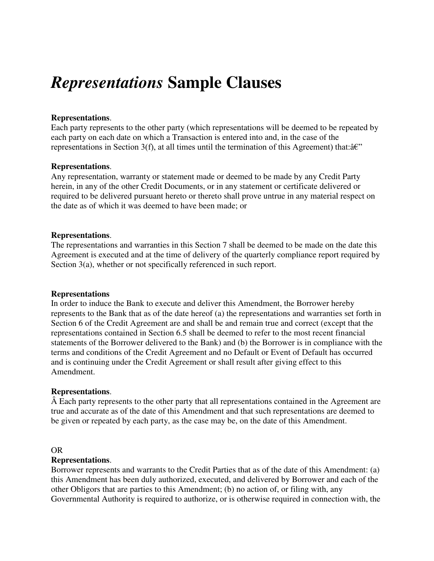# *Representations* **Sample Clauses**

## **Representations**.

Each party represents to the other party (which representations will be deemed to be repeated by each party on each date on which a Transaction is entered into and, in the case of the representations in Section 3(f), at all times until the termination of this Agreement) that: $\hat{a}\hat{\epsilon}$ "

## **Representations**.

Any representation, warranty or statement made or deemed to be made by any Credit Party herein, in any of the other Credit Documents, or in any statement or certificate delivered or required to be delivered pursuant hereto or thereto shall prove untrue in any material respect on the date as of which it was deemed to have been made; or

## **Representations**.

The representations and warranties in this Section 7 shall be deemed to be made on the date this Agreement is executed and at the time of delivery of the quarterly compliance report required by Section 3(a), whether or not specifically referenced in such report.

## **Representations**

In order to induce the Bank to execute and deliver this Amendment, the Borrower hereby represents to the Bank that as of the date hereof (a) the representations and warranties set forth in Section 6 of the Credit Agreement are and shall be and remain true and correct (except that the representations contained in Section 6.5 shall be deemed to refer to the most recent financial statements of the Borrower delivered to the Bank) and (b) the Borrower is in compliance with the terms and conditions of the Credit Agreement and no Default or Event of Default has occurred and is continuing under the Credit Agreement or shall result after giving effect to this Amendment.

## **Representations**.

 Each party represents to the other party that all representations contained in the Agreement are true and accurate as of the date of this Amendment and that such representations are deemed to be given or repeated by each party, as the case may be, on the date of this Amendment.

## OR

## **Representations**.

Borrower represents and warrants to the Credit Parties that as of the date of this Amendment: (a) this Amendment has been duly authorized, executed, and delivered by Borrower and each of the other Obligors that are parties to this Amendment; (b) no action of, or filing with, any Governmental Authority is required to authorize, or is otherwise required in connection with, the